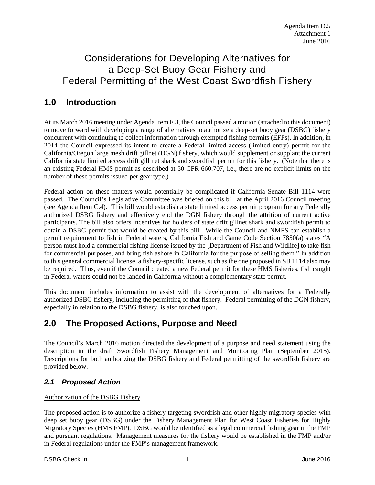# Considerations for Developing Alternatives for a Deep-Set Buoy Gear Fishery and Federal Permitting of the West Coast Swordfish Fishery

# **1.0 Introduction**

At its March 2016 meeting under Agenda Item F.3, the Council passed a motion (attached to this document) to move forward with developing a range of alternatives to authorize a deep-set buoy gear (DSBG) fishery concurrent with continuing to collect information through exempted fishing permits (EFPs). In addition, in 2014 the Council expressed its intent to create a Federal limited access (limited entry) permit for the California/Oregon large mesh drift gillnet (DGN) fishery, which would supplement or supplant the current California state limited access drift gill net shark and swordfish permit for this fishery. (Note that there is an existing Federal HMS permit as described at 50 CFR 660.707, i.e., there are no explicit limits on the number of these permits issued per gear type.)

Federal action on these matters would potentially be complicated if California Senate Bill 1114 were passed. The Council's Legislative Committee was briefed on this bill at the April 2016 Council meeting (see Agenda Item C.4). This bill would establish a state limited access permit program for any Federally authorized DSBG fishery and effectively end the DGN fishery through the attrition of current active participants. The bill also offers incentives for holders of state drift gillnet shark and swordfish permit to obtain a DSBG permit that would be created by this bill. While the Council and NMFS can establish a permit requirement to fish in Federal waters, California Fish and Game Code Section 7850(a) states "A person must hold a commercial fishing license issued by the [Department of Fish and Wildlife] to take fish for commercial purposes, and bring fish ashore in California for the purpose of selling them." In addition to this general commercial license, a fishery-specific license, such as the one proposed in SB 1114 also may be required. Thus, even if the Council created a new Federal permit for these HMS fisheries, fish caught in Federal waters could not be landed in California without a complementary state permit.

This document includes information to assist with the development of alternatives for a Federally authorized DSBG fishery, including the permitting of that fishery. Federal permitting of the DGN fishery, especially in relation to the DSBG fishery, is also touched upon.

## **2.0 The Proposed Actions, Purpose and Need**

The Council's March 2016 motion directed the development of a purpose and need statement using the description in the draft Swordfish Fishery Management and Monitoring Plan (September 2015). Descriptions for both authorizing the DSBG fishery and Federal permitting of the swordfish fishery are provided below.

### *2.1 Proposed Action*

#### Authorization of the DSBG Fishery

The proposed action is to authorize a fishery targeting swordfish and other highly migratory species with deep set buoy gear (DSBG) under the Fishery Management Plan for West Coast Fisheries for Highly Migratory Species (HMS FMP). DSBG would be identified as a legal commercial fishing gear in the FMP and pursuant regulations. Management measures for the fishery would be established in the FMP and/or in Federal regulations under the FMP's management framework.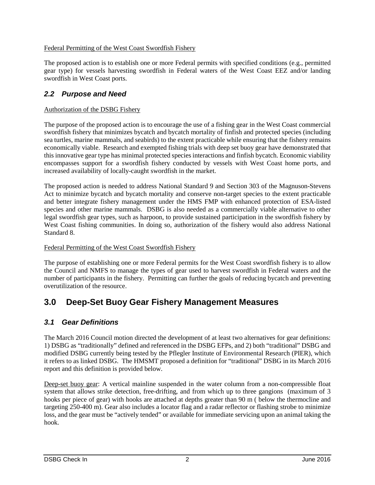#### Federal Permitting of the West Coast Swordfish Fishery

The proposed action is to establish one or more Federal permits with specified conditions (e.g., permitted gear type) for vessels harvesting swordfish in Federal waters of the West Coast EEZ and/or landing swordfish in West Coast ports.

### *2.2 Purpose and Need*

#### Authorization of the DSBG Fishery

The purpose of the proposed action is to encourage the use of a fishing gear in the West Coast commercial swordfish fishery that minimizes bycatch and bycatch mortality of finfish and protected species (including sea turtles, marine mammals, and seabirds) to the extent practicable while ensuring that the fishery remains economically viable. Research and exempted fishing trials with deep set buoy gear have demonstrated that this innovative gear type has minimal protected species interactions and finfish bycatch. Economic viability encompasses support for a swordfish fishery conducted by vessels with West Coast home ports, and increased availability of locally-caught swordfish in the market.

The proposed action is needed to address National Standard 9 and Section 303 of the Magnuson-Stevens Act to minimize bycatch and bycatch mortality and conserve non-target species to the extent practicable and better integrate fishery management under the HMS FMP with enhanced protection of ESA-listed species and other marine mammals. DSBG is also needed as a commercially viable alternative to other legal swordfish gear types, such as harpoon, to provide sustained participation in the swordfish fishery by West Coast fishing communities. In doing so, authorization of the fishery would also address National Standard 8.

#### Federal Permitting of the West Coast Swordfish Fishery

The purpose of establishing one or more Federal permits for the West Coast swordfish fishery is to allow the Council and NMFS to manage the types of gear used to harvest swordfish in Federal waters and the number of participants in the fishery. Permitting can further the goals of reducing bycatch and preventing overutilization of the resource.

## <span id="page-1-0"></span>**3.0 Deep-Set Buoy Gear Fishery Management Measures**

### *3.1 Gear Definitions*

The March 2016 Council motion directed the development of at least two alternatives for gear definitions: 1) DSBG as "traditionally" defined and referenced in the DSBG EFPs, and 2) both "traditional" DSBG and modified DSBG currently being tested by the Pflegler Institute of Environmental Research (PIER), which it refers to as linked DSBG. The HMSMT proposed a definition for "traditional" DSBG in its March 2016 report and this definition is provided below.

Deep-set buoy gear: A vertical mainline suspended in the water column from a non-compressible float system that allows strike detection, free-drifting, and from which up to three gangions (maximum of 3 hooks per piece of gear) with hooks are attached at depths greater than 90 m ( below the thermocline and targeting 250-400 m). Gear also includes a locator flag and a radar reflector or flashing strobe to minimize loss, and the gear must be "actively tended" or available for immediate servicing upon an animal taking the hook.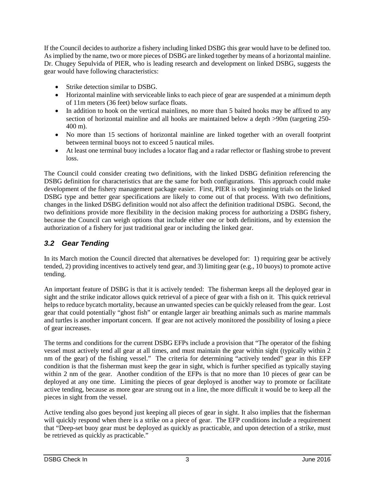If the Council decides to authorize a fishery including linked DSBG this gear would have to be defined too. As implied by the name, two or more pieces of DSBG are linked together by means of a horizontal mainline. Dr. Chugey Sepulvida of PIER, who is leading research and development on linked DSBG, suggests the gear would have following characteristics:

- Strike detection similar to DSBG.
- Horizontal mainline with serviceable links to each piece of gear are suspended at a minimum depth of 11m meters (36 feet) below surface floats.
- In addition to hook on the vertical mainlines, no more than 5 baited hooks may be affixed to any section of horizontal mainline and all hooks are maintained below a depth  $> 90$ m (targeting 250-400 m).
- No more than 15 sections of horizontal mainline are linked together with an overall footprint between terminal buoys not to exceed 5 nautical miles.
- At least one terminal buoy includes a locator flag and a radar reflector or flashing strobe to prevent loss.

The Council could consider creating two definitions, with the linked DSBG definition referencing the DSBG definition for characteristics that are the same for both configurations. This approach could make development of the fishery management package easier. First, PIER is only beginning trials on the linked DSBG type and better gear specifications are likely to come out of that process. With two definitions, changes in the linked DSBG definition would not also affect the definition traditional DSBG. Second, the two definitions provide more flexibility in the decision making process for authorizing a DSBG fishery, because the Council can weigh options that include either one or both definitions, and by extension the authorization of a fishery for just traditional gear or including the linked gear.

### *3.2 Gear Tending*

In its March motion the Council directed that alternatives be developed for: 1) requiring gear be actively tended, 2) providing incentives to actively tend gear, and 3) limiting gear (e.g., 10 buoys) to promote active tending.

An important feature of DSBG is that it is actively tended: The fisherman keeps all the deployed gear in sight and the strike indicator allows quick retrieval of a piece of gear with a fish on it. This quick retrieval helps to reduce bycatch mortality, because an unwanted species can be quickly released from the gear. Lost gear that could potentially "ghost fish" or entangle larger air breathing animals such as marine mammals and turtles is another important concern. If gear are not actively monitored the possibility of losing a piece of gear increases.

The terms and conditions for the current DSBG EFPs include a provision that "The operator of the fishing vessel must actively tend all gear at all times, and must maintain the gear within sight (typically within 2 nm of the gear) of the fishing vessel." The criteria for determining "actively tended" gear in this EFP condition is that the fisherman must keep the gear in sight, which is further specified as typically staying within 2 nm of the gear. Another condition of the EFPs is that no more than 10 pieces of gear can be deployed at any one time. Limiting the pieces of gear deployed is another way to promote or facilitate active tending, because as more gear are strung out in a line, the more difficult it would be to keep all the pieces in sight from the vessel.

Active tending also goes beyond just keeping all pieces of gear in sight. It also implies that the fisherman will quickly respond when there is a strike on a piece of gear. The EFP conditions include a requirement that "Deep-set buoy gear must be deployed as quickly as practicable, and upon detection of a strike, must be retrieved as quickly as practicable."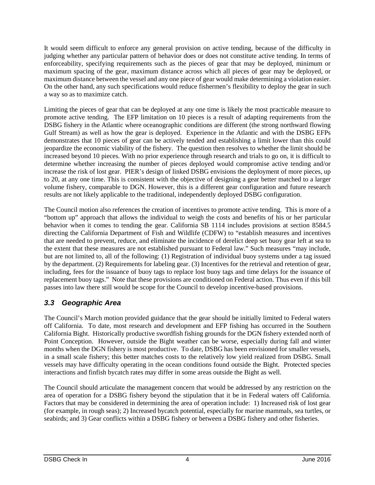It would seem difficult to enforce any general provision on active tending, because of the difficulty in judging whether any particular pattern of behavior does or does not constitute active tending. In terms of enforceability, specifying requirements such as the pieces of gear that may be deployed, minimum or maximum spacing of the gear, maximum distance across which all pieces of gear may be deployed, or maximum distance between the vessel and any one piece of gear would make determining a violation easier. On the other hand, any such specifications would reduce fishermen's flexibility to deploy the gear in such a way so as to maximize catch.

Limiting the pieces of gear that can be deployed at any one time is likely the most practicable measure to promote active tending. The EFP limitation on 10 pieces is a result of adapting requirements from the DSBG fishery in the Atlantic where oceanographic conditions are different (the strong northward flowing Gulf Stream) as well as how the gear is deployed. Experience in the Atlantic and with the DSBG EFPs demonstrates that 10 pieces of gear can be actively tended and establishing a limit lower than this could jeopardize the economic viability of the fishery. The question then resolves to whether the limit should be increased beyond 10 pieces. With no prior experience through research and trials to go on, it is difficult to determine whether increasing the number of pieces deployed would compromise active tending and/or increase the risk of lost gear. PIER's design of linked DSBG envisions the deployment of more pieces, up to 20, at any one time. This is consistent with the objective of designing a gear better matched to a larger volume fishery, comparable to DGN. However, this is a different gear configuration and future research results are not likely applicable to the traditional, independently deployed DSBG configuration.

The Council motion also references the creation of incentives to promote active tending. This is more of a "bottom up" approach that allows the individual to weigh the costs and benefits of his or her particular behavior when it comes to tending the gear. California SB 1114 includes provisions at section 8584.5 directing the California Department of Fish and Wildlife (CDFW) to "establish measures and incentives that are needed to prevent, reduce, and eliminate the incidence of derelict deep set buoy gear left at sea to the extent that these measures are not established pursuant to Federal law." Such measures "may include, but are not limited to, all of the following: (1) Registration of individual buoy systems under a tag issued by the department. (2) Requirements for labeling gear. (3) Incentives for the retrieval and retention of gear, including, fees for the issuance of buoy tags to replace lost buoy tags and time delays for the issuance of replacement buoy tags." Note that these provisions are conditioned on Federal action. Thus even if this bill passes into law there still would be scope for the Council to develop incentive-based provisions.

### *3.3 Geographic Area*

The Council's March motion provided guidance that the gear should be initially limited to Federal waters off California. To date, most research and development and EFP fishing has occurred in the Southern California Bight. Historically productive swordfish fishing grounds for the DGN fishery extended north of Point Conception. However, outside the Bight weather can be worse, especially during fall and winter months when the DGN fishery is most productive. To date, DSBG has been envisioned for smaller vessels, in a small scale fishery; this better matches costs to the relatively low yield realized from DSBG. Small vessels may have difficulty operating in the ocean conditions found outside the Bight. Protected species interactions and finfish bycatch rates may differ in some areas outside the Bight as well.

The Council should articulate the management concern that would be addressed by any restriction on the area of operation for a DSBG fishery beyond the stipulation that it be in Federal waters off California. Factors that may be considered in determining the area of operation include: 1) Increased risk of lost gear (for example, in rough seas); 2) Increased bycatch potential, especially for marine mammals, sea turtles, or seabirds; and 3) Gear conflicts within a DSBG fishery or between a DSBG fishery and other fisheries.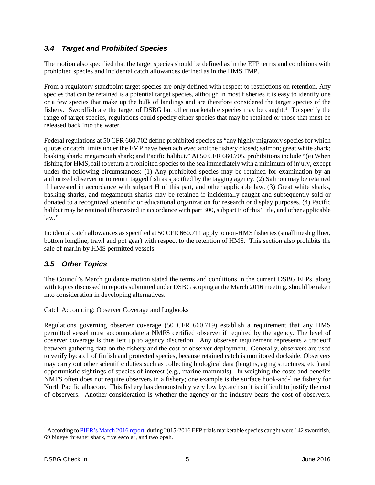### *3.4 Target and Prohibited Species*

The motion also specified that the target species should be defined as in the EFP terms and conditions with prohibited species and incidental catch allowances defined as in the HMS FMP.

From a regulatory standpoint target species are only defined with respect to restrictions on retention. Any species that can be retained is a potential target species, although in most fisheries it is easy to identify one or a few species that make up the bulk of landings and are therefore considered the target species of the fishery. Swordfish are the target of DSBG but other marketable species may be caught.<sup>[1](#page-4-0)</sup> To specify the range of target species, regulations could specify either species that may be retained or those that must be released back into the water.

Federal regulations at 50 CFR 660.702 define prohibited species as "any highly migratory species for which quotas or catch limits under the FMP have been achieved and the fishery closed; salmon; great white shark; basking shark; megamouth shark; and Pacific halibut." At 50 CFR 660.705, prohibitions include "(e) When fishing for HMS, fail to return a prohibited species to the sea immediately with a minimum of injury, except under the following circumstances: (1) Any prohibited species may be retained for examination by an authorized observer or to return tagged fish as specified by the tagging agency. (2) Salmon may be retained if harvested in accordance with subpart H of this part, and other applicable law. (3) Great white sharks, basking sharks, and megamouth sharks may be retained if incidentally caught and subsequently sold or donated to a recognized scientific or educational organization for research or display purposes. (4) Pacific halibut may be retained if harvested in accordance with part 300, subpart E of this Title, and other applicable law."

Incidental catch allowances as specified at 50 CFR 660.711 apply to non-HMS fisheries (small mesh gillnet, bottom longline, trawl and pot gear) with respect to the retention of HMS. This section also prohibits the sale of marlin by HMS permitted vessels.

### *3.5 Other Topics*

The Council's March guidance motion stated the terms and conditions in the current DSBG EFPs, along with topics discussed in reports submitted under DSBG scoping at the March 2016 meeting, should be taken into consideration in developing alternatives.

#### Catch Accounting: Observer Coverage and Logbooks

Regulations governing observer coverage (50 CFR 660.719) establish a requirement that any HMS permitted vessel must accommodate a NMFS certified observer if required by the agency. The level of observer coverage is thus left up to agency discretion. Any observer requirement represents a tradeoff between gathering data on the fishery and the cost of observer deployment. Generally, observers are used to verify bycatch of finfish and protected species, because retained catch is monitored dockside. Observers may carry out other scientific duties such as collecting biological data (lengths, aging structures, etc.) and opportunistic sightings of species of interest (e.g., marine mammals). In weighing the costs and benefits NMFS often does not require observers in a fishery; one example is the surface hook-and-line fishery for North Pacific albacore. This fishery has demonstrably very low bycatch so it is difficult to justify the cost of observers. Another consideration is whether the agency or the industry bears the cost of observers.

<span id="page-4-0"></span><sup>&</sup>lt;sup>1</sup> According to [PIER's March 2016 report,](http://www.pcouncil.org/wp-content/uploads/2016/03/F2a_Sup_DSBG_PPT_ChugeySepulveda_MAR2016BB.pdf) during 2015-2016 EFP trials marketable species caught were 142 swordfish, 69 bigeye thresher shark, five escolar, and two opah.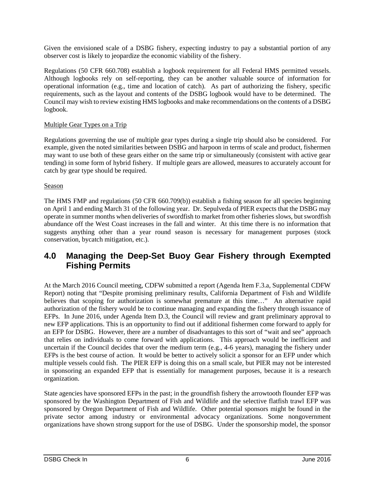Given the envisioned scale of a DSBG fishery, expecting industry to pay a substantial portion of any observer cost is likely to jeopardize the economic viability of the fishery.

Regulations (50 CFR 660.708) establish a logbook requirement for all Federal HMS permitted vessels. Although logbooks rely on self-reporting, they can be another valuable source of information for operational information (e.g., time and location of catch). As part of authorizing the fishery, specific requirements, such as the layout and contents of the DSBG logbook would have to be determined. The Council may wish to review existing HMS logbooks and make recommendations on the contents of a DSBG logbook.

#### Multiple Gear Types on a Trip

Regulations governing the use of multiple gear types during a single trip should also be considered. For example, given the noted similarities between DSBG and harpoon in terms of scale and product, fishermen may want to use both of these gears either on the same trip or simultaneously (consistent with active gear tending) in some form of hybrid fishery. If multiple gears are allowed, measures to accurately account for catch by gear type should be required.

#### Season

The HMS FMP and regulations (50 CFR 660.709(b)) establish a fishing season for all species beginning on April 1 and ending March 31 of the following year. Dr. Sepulveda of PIER expects that the DSBG may operate in summer months when deliveries of swordfish to market from other fisheries slows, but swordfish abundance off the West Coast increases in the fall and winter. At this time there is no information that suggests anything other than a year round season is necessary for management purposes (stock conservation, bycatch mitigation, etc.).

### **4.0 Managing the Deep-Set Buoy Gear Fishery through Exempted Fishing Permits**

At the March 2016 Council meeting, CDFW submitted a report (Agenda Item F.3.a, Supplemental CDFW Report) noting that "Despite promising preliminary results, California Department of Fish and Wildlife believes that scoping for authorization is somewhat premature at this time..." An alternative rapid authorization of the fishery would be to continue managing and expanding the fishery through issuance of EFPs. In June 2016, under Agenda Item D.3, the Council will review and grant preliminary approval to new EFP applications. This is an opportunity to find out if additional fishermen come forward to apply for an EFP for DSBG. However, there are a number of disadvantages to this sort of "wait and see" approach that relies on individuals to come forward with applications. This approach would be inefficient and uncertain if the Council decides that over the medium term (e.g., 4-6 years), managing the fishery under EFPs is the best course of action. It would be better to actively solicit a sponsor for an EFP under which multiple vessels could fish. The PIER EFP is doing this on a small scale, but PIER may not be interested in sponsoring an expanded EFP that is essentially for management purposes, because it is a research organization.

State agencies have sponsored EFPs in the past; in the groundfish fishery the arrowtooth flounder EFP was sponsored by the Washington Department of Fish and Wildlife and the selective flatfish trawl EFP was sponsored by Oregon Department of Fish and Wildlife. Other potential sponsors might be found in the private sector among industry or environmental advocacy organizations. Some nongovernment organizations have shown strong support for the use of DSBG. Under the sponsorship model, the sponsor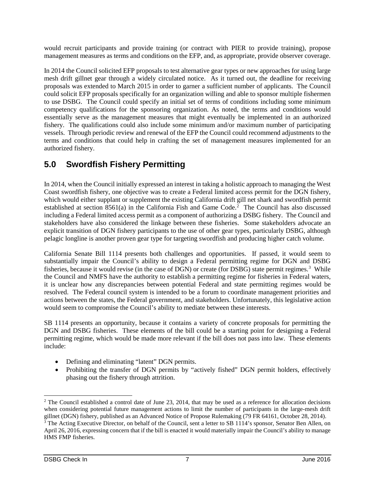would recruit participants and provide training (or contract with PIER to provide training), propose management measures as terms and conditions on the EFP, and, as appropriate, provide observer coverage.

In 2014 the Council solicited EFP proposals to test alternative gear types or new approaches for using large mesh drift gillnet gear through a widely circulated notice. As it turned out, the deadline for receiving proposals was extended to March 2015 in order to garner a sufficient number of applicants. The Council could solicit EFP proposals specifically for an organization willing and able to sponsor multiple fishermen to use DSBG. The Council could specify an initial set of terms of conditions including some minimum competency qualifications for the sponsoring organization. As noted, the terms and conditions would essentially serve as the management measures that might eventually be implemented in an authorized fishery. The qualifications could also include some minimum and/or maximum number of participating vessels. Through periodic review and renewal of the EFP the Council could recommend adjustments to the terms and conditions that could help in crafting the set of management measures implemented for an authorized fishery.

# **5.0 Swordfish Fishery Permitting**

In 2014, when the Council initially expressed an interest in taking a holistic approach to managing the West Coast swordfish fishery, one objective was to create a Federal limited access permit for the DGN fishery, which would either supplant or supplement the existing California drift gill net shark and swordfish permit established at section 8561(a) in the California Fish and Game Code.<sup>[2](#page-6-0)</sup> The Council has also discussed including a Federal limited access permit as a component of authorizing a DSBG fishery. The Council and stakeholders have also considered the linkage between these fisheries. Some stakeholders advocate an explicit transition of DGN fishery participants to the use of other gear types, particularly DSBG, although pelagic longline is another proven gear type for targeting swordfish and producing higher catch volume.

California Senate Bill 1114 presents both challenges and opportunities. If passed, it would seem to substantially impair the Council's ability to design a Federal permitting regime for DGN and DSBG fisheries, because it would revise (in the case of DGN) or create (for DSBG) state permit regimes.<sup>[3](#page-6-1)</sup> While the Council and NMFS have the authority to establish a permitting regime for fisheries in Federal waters, it is unclear how any discrepancies between potential Federal and state permitting regimes would be resolved. The Federal council system is intended to be a forum to coordinate management priorities and actions between the states, the Federal government, and stakeholders. Unfortunately, this legislative action would seem to compromise the Council's ability to mediate between these interests.

SB 1114 presents an opportunity, because it contains a variety of concrete proposals for permitting the DGN and DSBG fisheries. These elements of the bill could be a starting point for designing a Federal permitting regime, which would be made more relevant if the bill does not pass into law. These elements include:

- Defining and eliminating "latent" DGN permits.
- Prohibiting the transfer of DGN permits by "actively fished" DGN permit holders, effectively phasing out the fishery through attrition.

<span id="page-6-0"></span> $2$  The Council established a control date of June 23, 2014, that may be used as a reference for allocation decisions when considering potential future management actions to limit the number of participants in the large-mesh drift gillnet (DGN) fishery, published as an Advanced Notice of Propose Rulemaking (79 FR 64161, October 28, 2014).

<span id="page-6-1"></span><sup>&</sup>lt;sup>3</sup> The Acting Executive Director, on behalf of the Council, sent a letter to SB 1114's sponsor, Senator Ben Allen, on April 26, 2016, expressing concern that if the bill is enacted it would materially impair the Council's ability to manage HMS FMP fisheries.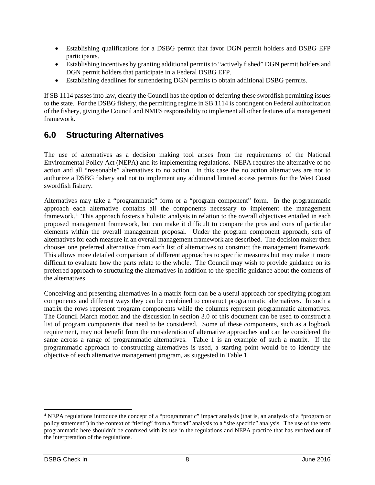- Establishing qualifications for a DSBG permit that favor DGN permit holders and DSBG EFP participants.
- Establishing incentives by granting additional permits to "actively fished" DGN permit holders and DGN permit holders that participate in a Federal DSBG EFP.
- Establishing deadlines for surrendering DGN permits to obtain additional DSBG permits.

If SB 1114 passes into law, clearly the Council has the option of deferring these swordfish permitting issues to the state. For the DSBG fishery, the permitting regime in SB 1114 is contingent on Federal authorization of the fishery, giving the Council and NMFS responsibility to implement all other features of a management framework.

# **6.0 Structuring Alternatives**

The use of alternatives as a decision making tool arises from the requirements of the National Environmental Policy Act (NEPA) and its implementing regulations. NEPA requires the alternative of no action and all "reasonable" alternatives to no action. In this case the no action alternatives are not to authorize a DSBG fishery and not to implement any additional limited access permits for the West Coast swordfish fishery.

Alternatives may take a "programmatic" form or a "program component" form. In the programmatic approach each alternative contains all the components necessary to implement the management framework. [4](#page-7-0) This approach fosters a holistic analysis in relation to the overall objectives entailed in each proposed management framework, but can make it difficult to compare the pros and cons of particular elements within the overall management proposal. Under the program component approach, sets of alternatives for each measure in an overall management framework are described. The decision maker then chooses one preferred alternative from each list of alternatives to construct the management framework. This allows more detailed comparison of different approaches to specific measures but may make it more difficult to evaluate how the parts relate to the whole. The Council may wish to provide guidance on its preferred approach to structuring the alternatives in addition to the specific guidance about the contents of the alternatives.

Conceiving and presenting alternatives in a matrix form can be a useful approach for specifying program components and different ways they can be combined to construct programmatic alternatives. In such a matrix the rows represent program components while the columns represent programmatic alternatives. The Council March motion and the discussion in section [3.0](#page-1-0) of this document can be used to construct a list of program components that need to be considered. Some of these components, such as a logbook requirement, may not benefit from the consideration of alternative approaches and can be considered the same across a range of programmatic alternatives. [Table 1](#page-8-0) is an example of such a matrix. If the programmatic approach to constructing alternatives is used, a starting point would be to identify the objective of each alternative management program, as suggested in [Table 1.](#page-8-0)

<span id="page-7-0"></span> <sup>4</sup> NEPA regulations introduce the concept of a "programmatic" impact analysis (that is, an analysis of a "program or policy statement") in the context of "tiering" from a "broad" analysis to a "site specific" analysis. The use of the term programmatic here shouldn't be confused with its use in the regulations and NEPA practice that has evolved out of the interpretation of the regulations.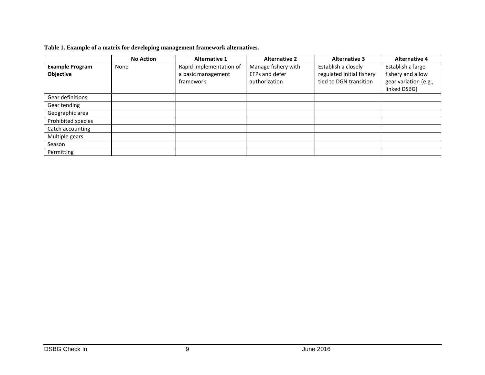|  |  | Table 1. Example of a matrix for developing management framework alternatives. |  |
|--|--|--------------------------------------------------------------------------------|--|
|  |  |                                                                                |  |

<span id="page-8-0"></span>

|                        | <b>No Action</b> | <b>Alternative 1</b>    | <b>Alternative 2</b> | <b>Alternative 3</b>      | <b>Alternative 4</b>  |
|------------------------|------------------|-------------------------|----------------------|---------------------------|-----------------------|
| <b>Example Program</b> | None             | Rapid implementation of | Manage fishery with  | Establish a closely       | Establish a large     |
| Objective              |                  | a basic management      | EFPs and defer       | regulated initial fishery | fishery and allow     |
|                        |                  | framework               | authorization        | tied to DGN transition    | gear variation (e.g., |
|                        |                  |                         |                      |                           | linked DSBG)          |
| Gear definitions       |                  |                         |                      |                           |                       |
| Gear tending           |                  |                         |                      |                           |                       |
| Geographic area        |                  |                         |                      |                           |                       |
| Prohibited species     |                  |                         |                      |                           |                       |
| Catch accounting       |                  |                         |                      |                           |                       |
| Multiple gears         |                  |                         |                      |                           |                       |
| Season                 |                  |                         |                      |                           |                       |
| Permitting             |                  |                         |                      |                           |                       |